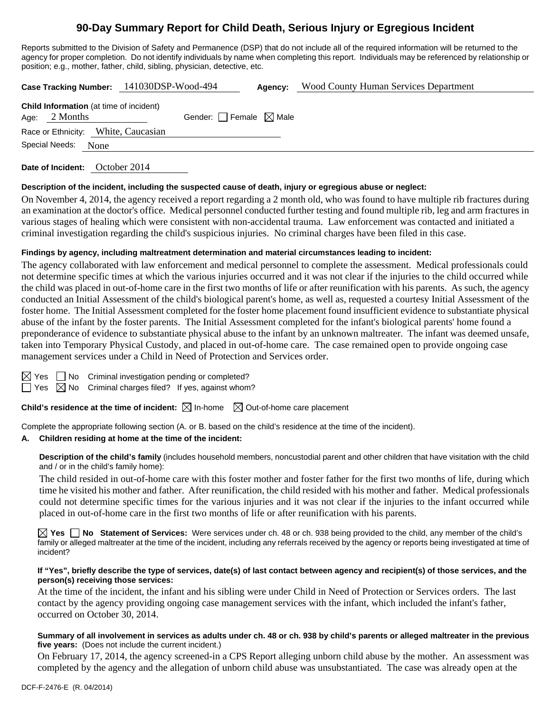# **90-Day Summary Report for Child Death, Serious Injury or Egregious Incident**

Reports submitted to the Division of Safety and Permanence (DSP) that do not include all of the required information will be returned to the agency for proper completion. Do not identify individuals by name when completing this report. Individuals may be referenced by relationship or position; e.g., mother, father, child, sibling, physician, detective, etc.

**Case Tracking Number:** 141030DSP-Wood-494 **Agency:** Wood County Human Services Department

| Race or Ethnicity: White, Caucasian | <b>Child Information</b> (at time of incident)<br>Age: $2$ Months | Gender: Female $\boxtimes$ Male |  |
|-------------------------------------|-------------------------------------------------------------------|---------------------------------|--|
|                                     |                                                                   |                                 |  |
|                                     | Special Needs:<br>None                                            |                                 |  |

**Date of Incident:** October 2014

### **Description of the incident, including the suspected cause of death, injury or egregious abuse or neglect:**

On November 4, 2014, the agency received a report regarding a 2 month old, who was found to have multiple rib fractures during an examination at the doctor's office. Medical personnel conducted further testing and found multiple rib, leg and arm fractures in various stages of healing which were consistent with non-accidental trauma. Law enforcement was contacted and initiated a criminal investigation regarding the child's suspicious injuries. No criminal charges have been filed in this case.

### **Findings by agency, including maltreatment determination and material circumstances leading to incident:**

The agency collaborated with law enforcement and medical personnel to complete the assessment. Medical professionals could not determine specific times at which the various injuries occurred and it was not clear if the injuries to the child occurred while the child was placed in out-of-home care in the first two months of life or after reunification with his parents. As such, the agency conducted an Initial Assessment of the child's biological parent's home, as well as, requested a courtesy Initial Assessment of the foster home. The Initial Assessment completed for the foster home placement found insufficient evidence to substantiate physical abuse of the infant by the foster parents. The Initial Assessment completed for the infant's biological parents' home found a preponderance of evidence to substantiate physical abuse to the infant by an unknown maltreater. The infant was deemed unsafe, taken into Temporary Physical Custody, and placed in out-of-home care. The case remained open to provide ongoing case management services under a Child in Need of Protection and Services order.

 $\Box$  No Criminal investigation pending or completed?

 $\Box$  Yes  $\boxtimes$  No Criminal charges filed? If yes, against whom?

**Child's residence at the time of incident:**  $\boxtimes$  In-home  $\boxtimes$  Out-of-home care placement

Complete the appropriate following section (A. or B. based on the child's residence at the time of the incident).

### **A. Children residing at home at the time of the incident:**

**Description of the child's family** (includes household members, noncustodial parent and other children that have visitation with the child and / or in the child's family home):

 The child resided in out-of-home care with this foster mother and foster father for the first two months of life, during which time he visited his mother and father. After reunification, the child resided with his mother and father. Medical professionals could not determine specific times for the various injuries and it was not clear if the injuries to the infant occurred while placed in out-of-home care in the first two months of life or after reunification with his parents.

**Yes No Statement of Services:** Were services under ch. 48 or ch. 938 being provided to the child, any member of the child's family or alleged maltreater at the time of the incident, including any referrals received by the agency or reports being investigated at time of incident?

#### **If "Yes", briefly describe the type of services, date(s) of last contact between agency and recipient(s) of those services, and the person(s) receiving those services:**

At the time of the incident, the infant and his sibling were under Child in Need of Protection or Services orders. The last contact by the agency providing ongoing case management services with the infant, which included the infant's father, occurred on October 30, 2014.

#### **Summary of all involvement in services as adults under ch. 48 or ch. 938 by child's parents or alleged maltreater in the previous five years:** (Does not include the current incident.)

On February 17, 2014, the agency screened-in a CPS Report alleging unborn child abuse by the mother. An assessment was completed by the agency and the allegation of unborn child abuse was unsubstantiated. The case was already open at the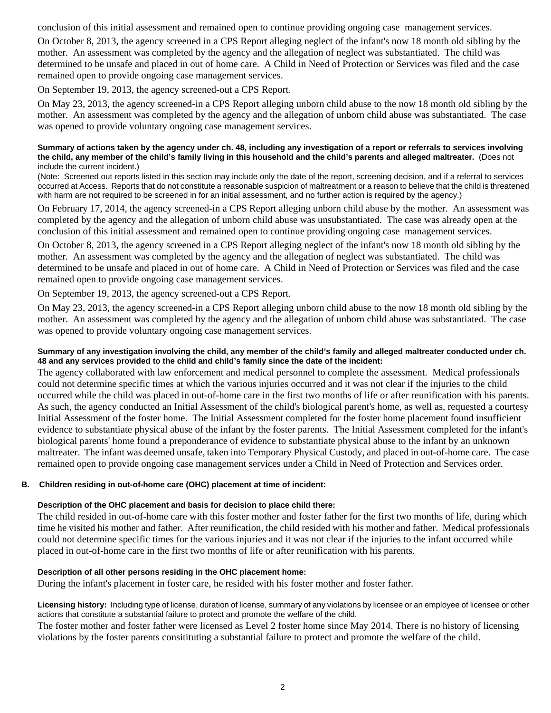conclusion of this initial assessment and remained open to continue providing ongoing case management services.

On October 8, 2013, the agency screened in a CPS Report alleging neglect of the infant's now 18 month old sibling by the mother. An assessment was completed by the agency and the allegation of neglect was substantiated. The child was determined to be unsafe and placed in out of home care. A Child in Need of Protection or Services was filed and the case remained open to provide ongoing case management services.

On September 19, 2013, the agency screened-out a CPS Report.

On May 23, 2013, the agency screened-in a CPS Report alleging unborn child abuse to the now 18 month old sibling by the mother. An assessment was completed by the agency and the allegation of unborn child abuse was substantiated. The case was opened to provide voluntary ongoing case management services.

#### **Summary of actions taken by the agency under ch. 48, including any investigation of a report or referrals to services involving the child, any member of the child's family living in this household and the child's parents and alleged maltreater.** (Does not include the current incident.)

(Note: Screened out reports listed in this section may include only the date of the report, screening decision, and if a referral to services occurred at Access. Reports that do not constitute a reasonable suspicion of maltreatment or a reason to believe that the child is threatened with harm are not required to be screened in for an initial assessment, and no further action is required by the agency.)

On February 17, 2014, the agency screened-in a CPS Report alleging unborn child abuse by the mother. An assessment was completed by the agency and the allegation of unborn child abuse was unsubstantiated. The case was already open at the conclusion of this initial assessment and remained open to continue providing ongoing case management services.

On October 8, 2013, the agency screened in a CPS Report alleging neglect of the infant's now 18 month old sibling by the mother. An assessment was completed by the agency and the allegation of neglect was substantiated. The child was determined to be unsafe and placed in out of home care. A Child in Need of Protection or Services was filed and the case remained open to provide ongoing case management services.

On September 19, 2013, the agency screened-out a CPS Report.

On May 23, 2013, the agency screened-in a CPS Report alleging unborn child abuse to the now 18 month old sibling by the mother. An assessment was completed by the agency and the allegation of unborn child abuse was substantiated. The case was opened to provide voluntary ongoing case management services.

## **Summary of any investigation involving the child, any member of the child's family and alleged maltreater conducted under ch. 48 and any services provided to the child and child's family since the date of the incident:**

The agency collaborated with law enforcement and medical personnel to complete the assessment. Medical professionals could not determine specific times at which the various injuries occurred and it was not clear if the injuries to the child occurred while the child was placed in out-of-home care in the first two months of life or after reunification with his parents. As such, the agency conducted an Initial Assessment of the child's biological parent's home, as well as, requested a courtesy Initial Assessment of the foster home. The Initial Assessment completed for the foster home placement found insufficient evidence to substantiate physical abuse of the infant by the foster parents. The Initial Assessment completed for the infant's biological parents' home found a preponderance of evidence to substantiate physical abuse to the infant by an unknown maltreater. The infant was deemed unsafe, taken into Temporary Physical Custody, and placed in out-of-home care. The case remained open to provide ongoing case management services under a Child in Need of Protection and Services order.

## **B. Children residing in out-of-home care (OHC) placement at time of incident:**

## **Description of the OHC placement and basis for decision to place child there:**

The child resided in out-of-home care with this foster mother and foster father for the first two months of life, during which time he visited his mother and father. After reunification, the child resided with his mother and father. Medical professionals could not determine specific times for the various injuries and it was not clear if the injuries to the infant occurred while placed in out-of-home care in the first two months of life or after reunification with his parents.

## **Description of all other persons residing in the OHC placement home:**

During the infant's placement in foster care, he resided with his foster mother and foster father.

**Licensing history:** Including type of license, duration of license, summary of any violations by licensee or an employee of licensee or other actions that constitute a substantial failure to protect and promote the welfare of the child.

The foster mother and foster father were licensed as Level 2 foster home since May 2014. There is no history of licensing violations by the foster parents consitituting a substantial failure to protect and promote the welfare of the child.